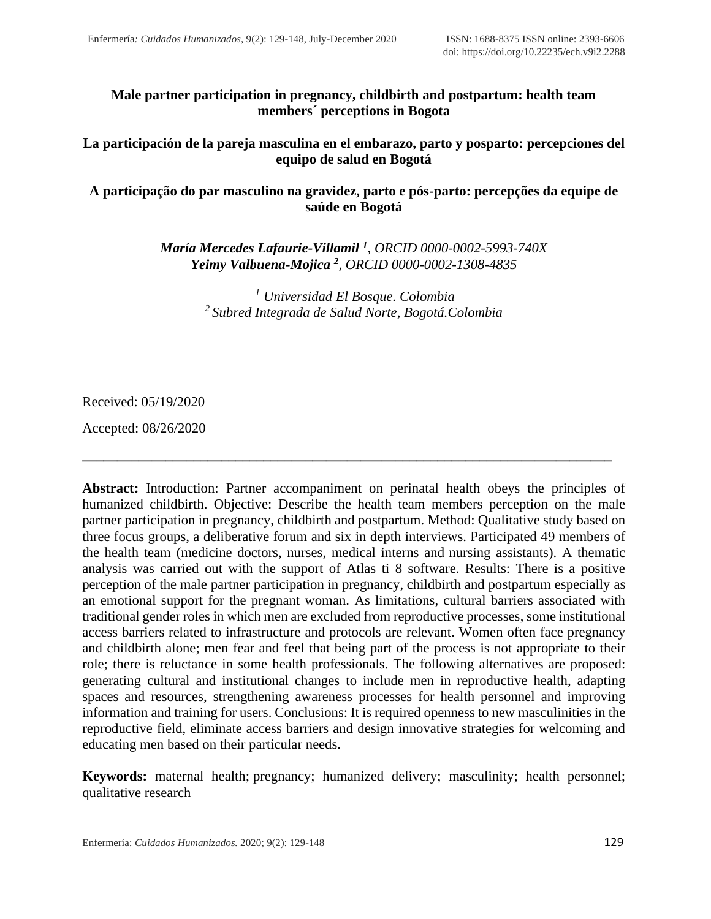# **Male partner participation in pregnancy, childbirth and postpartum: health team members´ perceptions in Bogota**

## **La participación de la pareja masculina en el embarazo, parto y posparto: percepciones del equipo de salud en Bogotá**

**A participação do par masculino na gravidez, parto e pós-parto: percepções da equipe de saúde en Bogotá**

> *María Mercedes Lafaurie-Villamil <sup>1</sup> , ORCID [0000-0002-5993-740X](https://orcid.org/0000-0002-5993-740X) Yeimy Valbuena-Mojica <sup>2</sup> , ORCID [0000-0002-1308-4835](https://orcid.org/0000-0002-1308-4835)*

> > *<sup>1</sup> Universidad El Bosque. Colombia <sup>2</sup>Subred Integrada de Salud Norte, Bogotá.Colombia*

**\_\_\_\_\_\_\_\_\_\_\_\_\_\_\_\_\_\_\_\_\_\_\_\_\_\_\_\_\_\_\_\_\_\_\_\_\_\_\_\_\_\_\_\_\_\_\_\_\_\_\_\_\_\_\_\_\_\_\_\_\_\_\_\_\_\_\_\_\_\_\_\_\_\_\_\_**

Received: 05/19/2020

Accepted: 08/26/2020

**Abstract:** Introduction: Partner accompaniment on perinatal health obeys the principles of humanized childbirth. Objective: Describe the health team members perception on the male partner participation in pregnancy, childbirth and postpartum. Method: Qualitative study based on three focus groups, a deliberative forum and six in depth interviews. Participated 49 members of the health team (medicine doctors, nurses, medical interns and nursing assistants). A thematic analysis was carried out with the support of Atlas ti 8 software. Results: There is a positive perception of the male partner participation in pregnancy, childbirth and postpartum especially as an emotional support for the pregnant woman. As limitations, cultural barriers associated with traditional gender roles in which men are excluded from reproductive processes, some institutional access barriers related to infrastructure and protocols are relevant. Women often face pregnancy and childbirth alone; men fear and feel that being part of the process is not appropriate to their role; there is reluctance in some health professionals. The following alternatives are proposed: generating cultural and institutional changes to include men in reproductive health, adapting spaces and resources, strengthening awareness processes for health personnel and improving information and training for users. Conclusions: It is required openness to new masculinities in the reproductive field, eliminate access barriers and design innovative strategies for welcoming and educating men based on their particular needs.

**Keywords:** maternal health; pregnancy; humanized delivery; masculinity; health personnel; qualitative research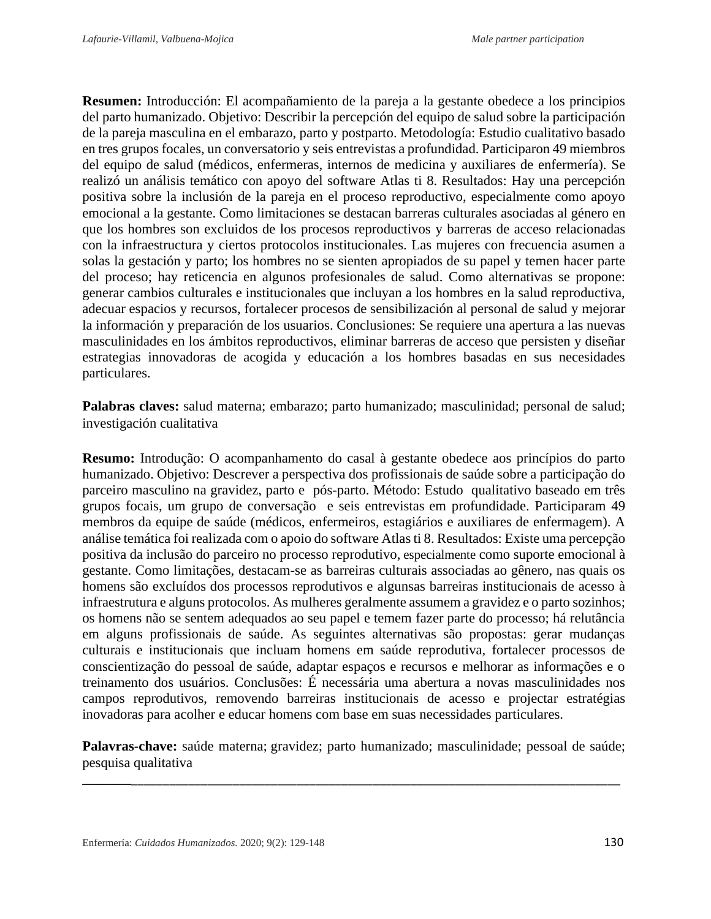**Resumen:** Introducción: El acompañamiento de la pareja a la gestante obedece a los principios del parto humanizado. Objetivo: Describir la percepción del equipo de salud sobre la participación de la pareja masculina en el embarazo, parto y postparto. Metodología: Estudio cualitativo basado en tres grupos focales, un conversatorio y seis entrevistas a profundidad. Participaron 49 miembros del equipo de salud (médicos, enfermeras, internos de medicina y auxiliares de enfermería). Se realizó un análisis temático con apoyo del software Atlas ti 8. Resultados: Hay una percepción positiva sobre la inclusión de la pareja en el proceso reproductivo, especialmente como apoyo emocional a la gestante. Como limitaciones se destacan barreras culturales asociadas al género en que los hombres son excluidos de los procesos reproductivos y barreras de acceso relacionadas con la infraestructura y ciertos protocolos institucionales. Las mujeres con frecuencia asumen a solas la gestación y parto; los hombres no se sienten apropiados de su papel y temen hacer parte del proceso; hay reticencia en algunos profesionales de salud. Como alternativas se propone: generar cambios culturales e institucionales que incluyan a los hombres en la salud reproductiva, adecuar espacios y recursos, fortalecer procesos de sensibilización al personal de salud y mejorar la información y preparación de los usuarios. Conclusiones: Se requiere una apertura a las nuevas masculinidades en los ámbitos reproductivos, eliminar barreras de acceso que persisten y diseñar estrategias innovadoras de acogida y educación a los hombres basadas en sus necesidades particulares.

**Palabras claves:** salud materna; embarazo; parto humanizado; masculinidad; personal de salud; investigación cualitativa

**Resumo:** Introdução: O acompanhamento do casal à gestante obedece aos princípios do parto humanizado. Objetivo: Descrever a perspectiva dos profissionais de saúde sobre a participação do parceiro masculino na gravidez, parto e pós-parto. Método: Estudo qualitativo baseado em três grupos focais, um grupo de conversação e seis entrevistas em profundidade. Participaram 49 membros da equipe de saúde (médicos, enfermeiros, estagiários e auxiliares de enfermagem). A análise temática foi realizada com o apoio do software Atlas ti 8. Resultados: Existe uma percepção positiva da inclusão do parceiro no processo reprodutivo, especialmente como suporte emocional à gestante. Como limitações, destacam-se as barreiras culturais associadas ao gênero, nas quais os homens são excluídos dos processos reprodutivos e algunsas barreiras institucionais de acesso à infraestrutura e alguns protocolos. As mulheres geralmente assumem a gravidez e o parto sozinhos; os homens não se sentem adequados ao seu papel e temem fazer parte do processo; há relutância em alguns profissionais de saúde. As seguintes alternativas são propostas: gerar mudanças culturais e institucionais que incluam homens em saúde reprodutiva, fortalecer processos de conscientização do pessoal de saúde, adaptar espaços e recursos e melhorar as informações e o treinamento dos usuários. Conclusões: É necessária uma abertura a novas masculinidades nos campos reprodutivos, removendo barreiras institucionais de acesso e projectar estratégias inovadoras para acolher e educar homens com base em suas necessidades particulares.

**Palavras-chave:** saúde materna; gravidez; parto humanizado; masculinidade; pessoal de saúde; pesquisa qualitativa

\_\_\_\_\_\_\_\_\_\_\_\_\_\_\_\_\_\_\_\_\_\_\_\_\_\_\_\_\_\_\_\_\_\_\_\_\_\_\_\_\_\_\_\_\_\_\_\_\_\_\_\_\_\_\_\_\_\_\_\_\_\_\_\_\_\_\_\_\_\_\_\_\_\_\_\_\_\_\_\_\_\_\_\_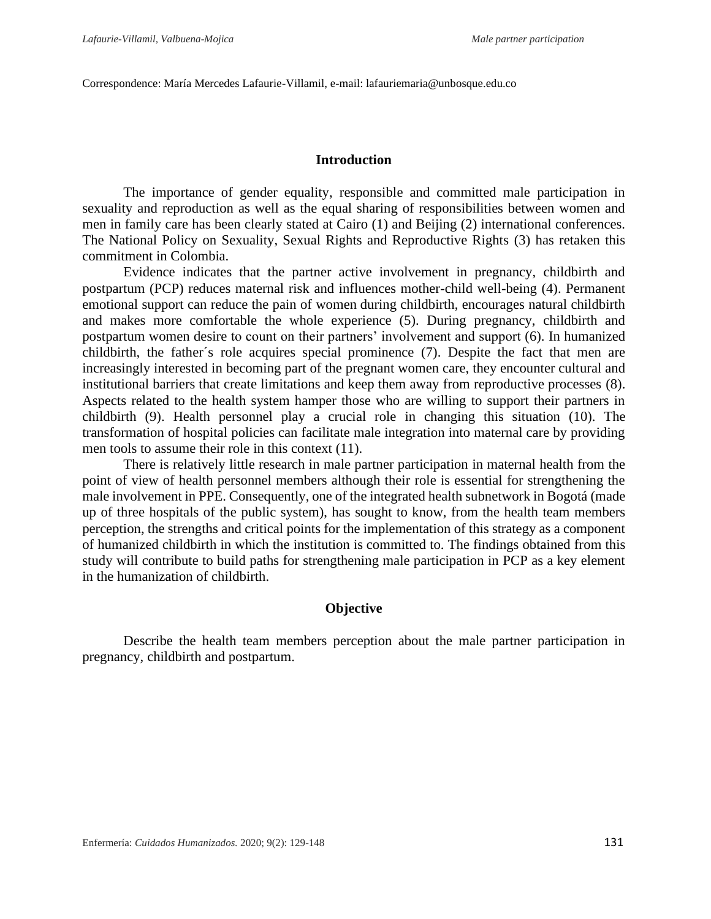Correspondence: María Mercedes Lafaurie-Villamil, e-mail: lafauriemaria@unbosque.edu.co

#### **Introduction**

The importance of gender equality, responsible and committed male participation in sexuality and reproduction as well as the equal sharing of responsibilities between women and men in family care has been clearly stated at Cairo (1) and Beijing (2) international conferences. The National Policy on Sexuality, Sexual Rights and Reproductive Rights (3) has retaken this commitment in Colombia.

Evidence indicates that the partner active involvement in pregnancy, childbirth and postpartum (PCP) reduces maternal risk and influences mother-child well-being (4). Permanent emotional support can reduce the pain of women during childbirth, encourages natural childbirth and makes more comfortable the whole experience (5). During pregnancy, childbirth and postpartum women desire to count on their partners' involvement and support (6). In humanized childbirth, the father´s role acquires special prominence (7). Despite the fact that men are increasingly interested in becoming part of the pregnant women care, they encounter cultural and institutional barriers that create limitations and keep them away from reproductive processes (8). Aspects related to the health system hamper those who are willing to support their partners in childbirth (9). Health personnel play a crucial role in changing this situation (10). The transformation of hospital policies can facilitate male integration into maternal care by providing men tools to assume their role in this context (11).

There is relatively little research in male partner participation in maternal health from the point of view of health personnel members although their role is essential for strengthening the male involvement in PPE. Consequently, one of the integrated health subnetwork in Bogotá (made up of three hospitals of the public system), has sought to know, from the health team members perception, the strengths and critical points for the implementation of this strategy as a component of humanized childbirth in which the institution is committed to. The findings obtained from this study will contribute to build paths for strengthening male participation in PCP as a key element in the humanization of childbirth.

#### **Objective**

Describe the health team members perception about the male partner participation in pregnancy, childbirth and postpartum.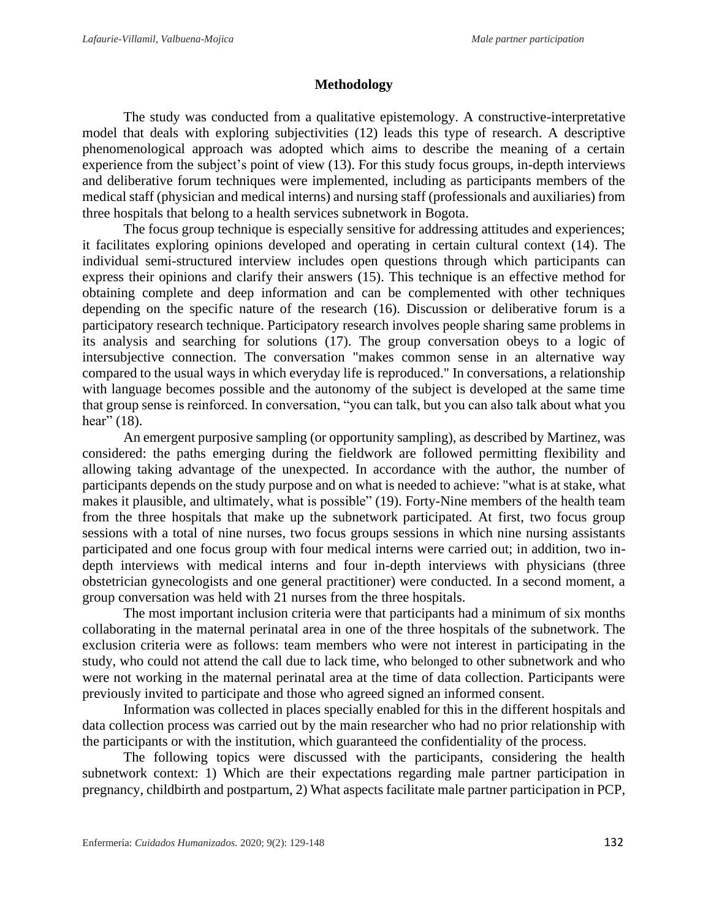# **Methodology**

The study was conducted from a qualitative epistemology. A constructive-interpretative model that deals with exploring subjectivities (12) leads this type of research. A descriptive phenomenological approach was adopted which aims to describe the meaning of a certain experience from the subject's point of view (13). For this study focus groups, in-depth interviews and deliberative forum techniques were implemented, including as participants members of the medical staff (physician and medical interns) and nursing staff (professionals and auxiliaries) from three hospitals that belong to a health services subnetwork in Bogota.

The focus group technique is especially sensitive for addressing attitudes and experiences; it facilitates exploring opinions developed and operating in certain cultural context (14). The individual semi-structured interview includes open questions through which participants can express their opinions and clarify their answers (15). This technique is an effective method for obtaining complete and deep information and can be complemented with other techniques depending on the specific nature of the research (16). Discussion or deliberative forum is a participatory research technique. Participatory research involves people sharing same problems in its analysis and searching for solutions (17). The group conversation obeys to a logic of intersubjective connection. The conversation "makes common sense in an alternative way compared to the usual ways in which everyday life is reproduced." In conversations, a relationship with language becomes possible and the autonomy of the subject is developed at the same time that group sense is reinforced. In conversation, "you can talk, but you can also talk about what you hear" (18).

An emergent purposive sampling (or opportunity sampling), as described by Martinez, was considered: the paths emerging during the fieldwork are followed permitting flexibility and allowing taking advantage of the unexpected. In accordance with the author, the number of participants depends on the study purpose and on what is needed to achieve: "what is at stake, what makes it plausible, and ultimately, what is possible" (19). Forty-Nine members of the health team from the three hospitals that make up the subnetwork participated. At first, two focus group sessions with a total of nine nurses, two focus groups sessions in which nine nursing assistants participated and one focus group with four medical interns were carried out; in addition, two indepth interviews with medical interns and four in-depth interviews with physicians (three obstetrician gynecologists and one general practitioner) were conducted. In a second moment, a group conversation was held with 21 nurses from the three hospitals.

The most important inclusion criteria were that participants had a minimum of six months collaborating in the maternal perinatal area in one of the three hospitals of the subnetwork. The exclusion criteria were as follows: team members who were not interest in participating in the study, who could not attend the call due to lack time, who belonged to other subnetwork and who were not working in the maternal perinatal area at the time of data collection. Participants were previously invited to participate and those who agreed signed an informed consent.

Information was collected in places specially enabled for this in the different hospitals and data collection process was carried out by the main researcher who had no prior relationship with the participants or with the institution, which guaranteed the confidentiality of the process.

The following topics were discussed with the participants, considering the health subnetwork context: 1) Which are their expectations regarding male partner participation in pregnancy, childbirth and postpartum, 2) What aspects facilitate male partner participation in PCP,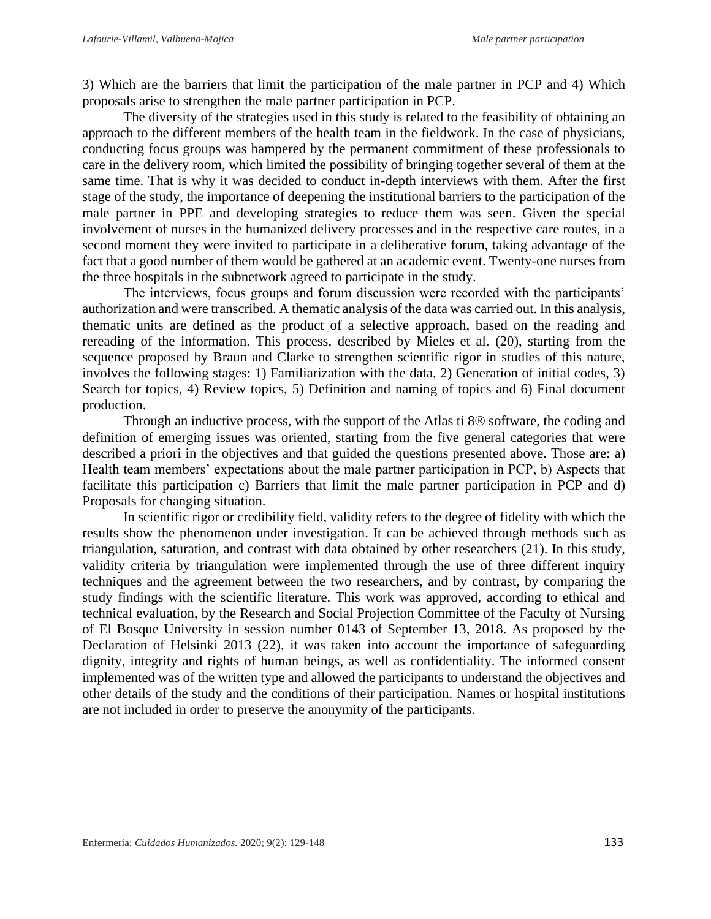3) Which are the barriers that limit the participation of the male partner in PCP and 4) Which proposals arise to strengthen the male partner participation in PCP.

The diversity of the strategies used in this study is related to the feasibility of obtaining an approach to the different members of the health team in the fieldwork. In the case of physicians, conducting focus groups was hampered by the permanent commitment of these professionals to care in the delivery room, which limited the possibility of bringing together several of them at the same time. That is why it was decided to conduct in-depth interviews with them. After the first stage of the study, the importance of deepening the institutional barriers to the participation of the male partner in PPE and developing strategies to reduce them was seen. Given the special involvement of nurses in the humanized delivery processes and in the respective care routes, in a second moment they were invited to participate in a deliberative forum, taking advantage of the fact that a good number of them would be gathered at an academic event. Twenty-one nurses from the three hospitals in the subnetwork agreed to participate in the study.

The interviews, focus groups and forum discussion were recorded with the participants' authorization and were transcribed. A thematic analysis of the data was carried out. In this analysis, thematic units are defined as the product of a selective approach, based on the reading and rereading of the information. This process, described by Mieles et al. (20), starting from the sequence proposed by Braun and Clarke to strengthen scientific rigor in studies of this nature, involves the following stages: 1) Familiarization with the data, 2) Generation of initial codes, 3) Search for topics, 4) Review topics, 5) Definition and naming of topics and 6) Final document production.

Through an inductive process, with the support of the Atlas ti 8® software, the coding and definition of emerging issues was oriented, starting from the five general categories that were described a priori in the objectives and that guided the questions presented above. Those are: a) Health team members' expectations about the male partner participation in PCP, b) Aspects that facilitate this participation c) Barriers that limit the male partner participation in PCP and d) Proposals for changing situation.

In scientific rigor or credibility field, validity refers to the degree of fidelity with which the results show the phenomenon under investigation. It can be achieved through methods such as triangulation, saturation, and contrast with data obtained by other researchers (21). In this study, validity criteria by triangulation were implemented through the use of three different inquiry techniques and the agreement between the two researchers, and by contrast, by comparing the study findings with the scientific literature. This work was approved, according to ethical and technical evaluation, by the Research and Social Projection Committee of the Faculty of Nursing of El Bosque University in session number 0143 of September 13, 2018. As proposed by the Declaration of Helsinki 2013 (22), it was taken into account the importance of safeguarding dignity, integrity and rights of human beings, as well as confidentiality. The informed consent implemented was of the written type and allowed the participants to understand the objectives and other details of the study and the conditions of their participation. Names or hospital institutions are not included in order to preserve the anonymity of the participants.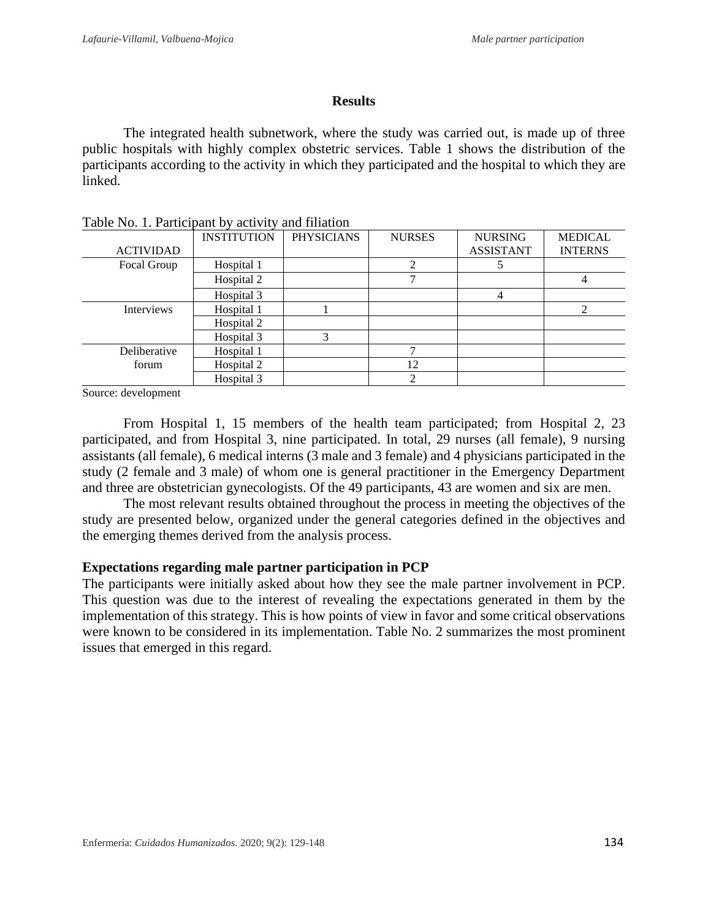### **Results**

The integrated health subnetwork, where the study was carried out, is made up of three public hospitals with highly complex obstetric services. Table 1 shows the distribution of the participants according to the activity in which they participated and the hospital to which they are linked.

| <b>ACTIVIDAD</b> | <b>INSTITUTION</b> | <b>PHYSICIANS</b> | <b>NURSES</b> | <b>NURSING</b><br><b>ASSISTANT</b> | <b>MEDICAL</b><br><b>INTERNS</b> |
|------------------|--------------------|-------------------|---------------|------------------------------------|----------------------------------|
| Focal Group      | Hospital 1         |                   | ∍             |                                    |                                  |
|                  | Hospital 2         |                   |               |                                    |                                  |
|                  | Hospital 3         |                   |               |                                    |                                  |
| Interviews       | Hospital 1         |                   |               |                                    |                                  |
|                  | Hospital 2         |                   |               |                                    |                                  |
|                  | Hospital 3         |                   |               |                                    |                                  |
| Deliberative     | Hospital 1         |                   |               |                                    |                                  |
| forum            | Hospital 2         |                   | 12            |                                    |                                  |
|                  | Hospital 3         |                   |               |                                    |                                  |

| Table No. 1. Participant by activity and filiation |  |  |  |  |
|----------------------------------------------------|--|--|--|--|
|----------------------------------------------------|--|--|--|--|

Source: development

From Hospital 1, 15 members of the health team participated; from Hospital 2, 23 participated, and from Hospital 3, nine participated. In total, 29 nurses (all female), 9 nursing assistants (all female), 6 medical interns (3 male and 3 female) and 4 physicians participated in the study (2 female and 3 male) of whom one is general practitioner in the Emergency Department and three are obstetrician gynecologists. Of the 49 participants, 43 are women and six are men.

The most relevant results obtained throughout the process in meeting the objectives of the study are presented below, organized under the general categories defined in the objectives and the emerging themes derived from the analysis process.

### **Expectations regarding male partner participation in PCP**

The participants were initially asked about how they see the male partner involvement in PCP. This question was due to the interest of revealing the expectations generated in them by the implementation of this strategy. This is how points of view in favor and some critical observations were known to be considered in its implementation. Table No. 2 summarizes the most prominent issues that emerged in this regard.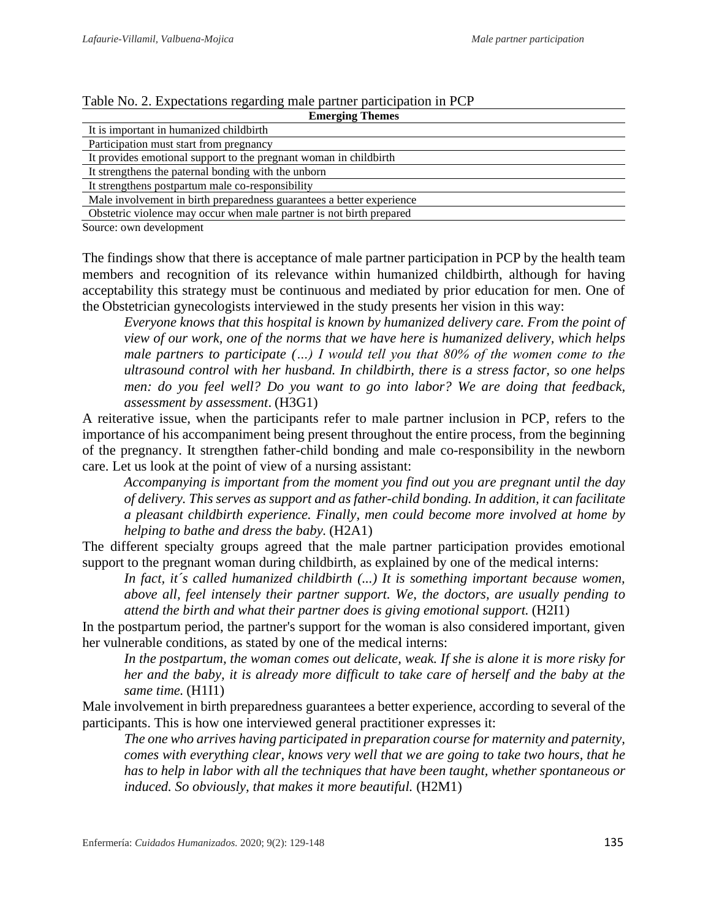| Table INO. 2. Expectations regarding male partier participation in FCT |
|------------------------------------------------------------------------|
| <b>Emerging Themes</b>                                                 |
| It is important in humanized child birth                               |
| Participation must start from pregnancy                                |
| It provides emotional support to the pregnant woman in childbirth      |
| It strengthens the paternal bonding with the unborn                    |
| It strengthens postpartum male co-responsibility                       |
| Male involvement in birth preparedness guarantees a better experience  |
| Obstetric violence may occur when male partner is not birth prepared   |

Table No. 2. Expectations regarding male partner participation in PCP

Source: own development

The findings show that there is acceptance of male partner participation in PCP by the health team members and recognition of its relevance within humanized childbirth, although for having acceptability this strategy must be continuous and mediated by prior education for men. One of the Obstetrician gynecologists interviewed in the study presents her vision in this way:

*Everyone knows that this hospital is known by humanized delivery care. From the point of view of our work, one of the norms that we have here is humanized delivery, which helps male partners to participate (…) I would tell you that 80% of the women come to the ultrasound control with her husband. In childbirth, there is a stress factor, so one helps men: do you feel well? Do you want to go into labor? We are doing that feedback, assessment by assessment*. (H3G1)

A reiterative issue, when the participants refer to male partner inclusion in PCP, refers to the importance of his accompaniment being present throughout the entire process, from the beginning of the pregnancy. It strengthen father-child bonding and male co-responsibility in the newborn care. Let us look at the point of view of a nursing assistant:

*Accompanying is important from the moment you find out you are pregnant until the day of delivery. This serves as support and as father-child bonding. In addition, it can facilitate a pleasant childbirth experience. Finally, men could become more involved at home by helping to bathe and dress the baby.* (H2A1)

The different specialty groups agreed that the male partner participation provides emotional support to the pregnant woman during childbirth, as explained by one of the medical interns:

*In fact, it´s called humanized childbirth (...) It is something important because women, above all, feel intensely their partner support. We, the doctors, are usually pending to attend the birth and what their partner does is giving emotional support.* (H2I1)

In the postpartum period, the partner's support for the woman is also considered important, given her vulnerable conditions, as stated by one of the medical interns:

*In the postpartum, the woman comes out delicate, weak. If she is alone it is more risky for her and the baby, it is already more difficult to take care of herself and the baby at the same time.* (H1I1)

Male involvement in birth preparedness guarantees a better experience, according to several of the participants. This is how one interviewed general practitioner expresses it:

*The one who arrives having participated in preparation course for maternity and paternity, comes with everything clear, knows very well that we are going to take two hours, that he has to help in labor with all the techniques that have been taught, whether spontaneous or induced. So obviously, that makes it more beautiful.* (H2M1)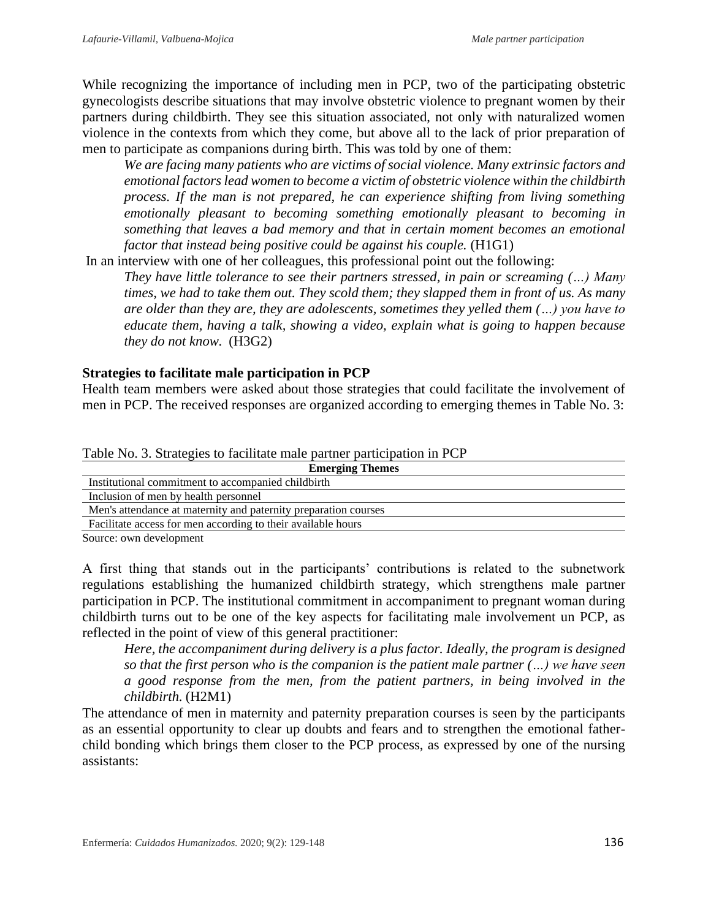While recognizing the importance of including men in PCP, two of the participating obstetric gynecologists describe situations that may involve obstetric violence to pregnant women by their partners during childbirth. They see this situation associated, not only with naturalized women violence in the contexts from which they come, but above all to the lack of prior preparation of men to participate as companions during birth. This was told by one of them:

*We are facing many patients who are victims of social violence. Many extrinsic factors and emotional factors lead women to become a victim of obstetric violence within the childbirth process. If the man is not prepared, he can experience shifting from living something emotionally pleasant to becoming something emotionally pleasant to becoming in something that leaves a bad memory and that in certain moment becomes an emotional factor that instead being positive could be against his couple.* (H1G1)

In an interview with one of her colleagues, this professional point out the following:

*They have little tolerance to see their partners stressed, in pain or screaming (…) Many times, we had to take them out. They scold them; they slapped them in front of us. As many are older than they are, they are adolescents, sometimes they yelled them (…) you have to educate them, having a talk, showing a video, explain what is going to happen because they do not know.* (H3G2)

# **Strategies to facilitate male participation in PCP**

Health team members were asked about those strategies that could facilitate the involvement of men in PCP. The received responses are organized according to emerging themes in Table No. 3:

| Table No. 3. Strategies to facilitate male partner participation in PCP |
|-------------------------------------------------------------------------|
| <b>Emerging Themes</b>                                                  |
| Institutional commitment to accompanied childbirth                      |
| Inclusion of men by health personnel                                    |
| Men's attendance at maternity and paternity preparation courses         |
| Facilitate access for men according to their available hours            |

Source: own development

A first thing that stands out in the participants' contributions is related to the subnetwork regulations establishing the humanized childbirth strategy, which strengthens male partner participation in PCP. The institutional commitment in accompaniment to pregnant woman during childbirth turns out to be one of the key aspects for facilitating male involvement un PCP, as reflected in the point of view of this general practitioner:

*Here, the accompaniment during delivery is a plus factor. Ideally, the program is designed so that the first person who is the companion is the patient male partner (…) we have seen a good response from the men, from the patient partners, in being involved in the childbirth.* (H2M1)

The attendance of men in maternity and paternity preparation courses is seen by the participants as an essential opportunity to clear up doubts and fears and to strengthen the emotional fatherchild bonding which brings them closer to the PCP process, as expressed by one of the nursing assistants: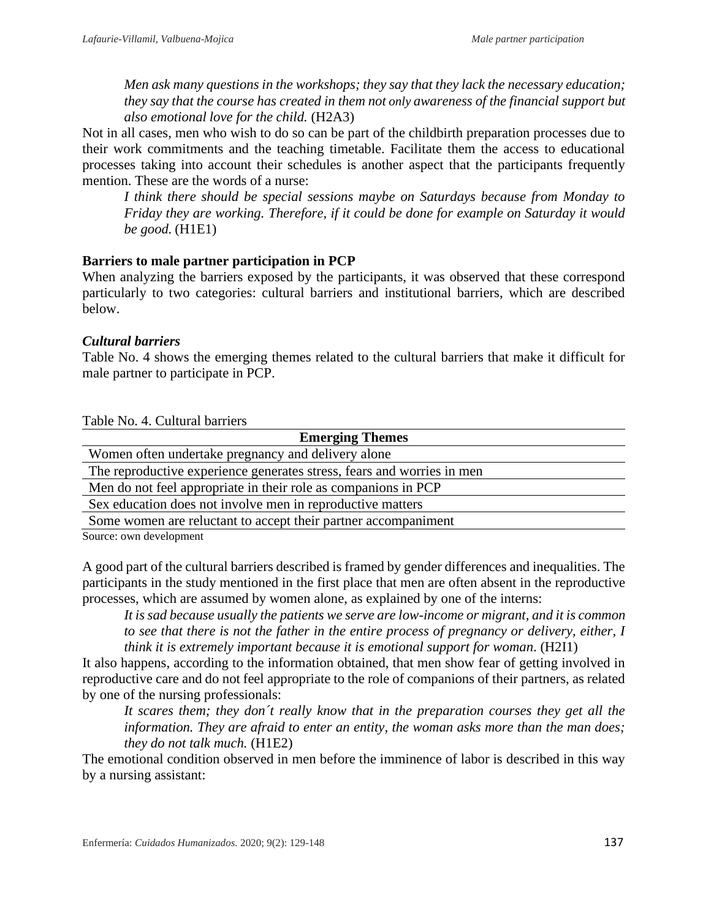*Men ask many questions in the workshops; they say that they lack the necessary education; they say that the course has created in them not only awareness of the financial support but also emotional love for the child.* (H2A3)

Not in all cases, men who wish to do so can be part of the childbirth preparation processes due to their work commitments and the teaching timetable. Facilitate them the access to educational processes taking into account their schedules is another aspect that the participants frequently mention. These are the words of a nurse:

*I think there should be special sessions maybe on Saturdays because from Monday to Friday they are working. Therefore, if it could be done for example on Saturday it would be good.* (H1E1)

# **Barriers to male partner participation in PCP**

When analyzing the barriers exposed by the participants, it was observed that these correspond particularly to two categories: cultural barriers and institutional barriers, which are described below.

# *Cultural barriers*

Table No. 4 shows the emerging themes related to the cultural barriers that make it difficult for male partner to participate in PCP.

| Table No. 4. Cultural barriers |  |  |
|--------------------------------|--|--|
|--------------------------------|--|--|

| <b>Emerging Themes</b>                                                 |
|------------------------------------------------------------------------|
| Women often undertake pregnancy and delivery alone                     |
| The reproductive experience generates stress, fears and worries in men |
| Men do not feel appropriate in their role as companions in PCP         |
| Sex education does not involve men in reproductive matters             |
| Some women are reluctant to accept their partner accompaniment         |
| $\sim$                                                                 |

Source: own development

A good part of the cultural barriers described is framed by gender differences and inequalities. The participants in the study mentioned in the first place that men are often absent in the reproductive processes, which are assumed by women alone, as explained by one of the interns:

*It is sad because usually the patients we serve are low-income or migrant, and it is common to see that there is not the father in the entire process of pregnancy or delivery, either, I think it is extremely important because it is emotional support for woman*. (H2I1)

It also happens, according to the information obtained, that men show fear of getting involved in reproductive care and do not feel appropriate to the role of companions of their partners, as related by one of the nursing professionals:

*It scares them; they don´t really know that in the preparation courses they get all the information. They are afraid to enter an entity, the woman asks more than the man does; they do not talk much.* (H1E2)

The emotional condition observed in men before the imminence of labor is described in this way by a nursing assistant: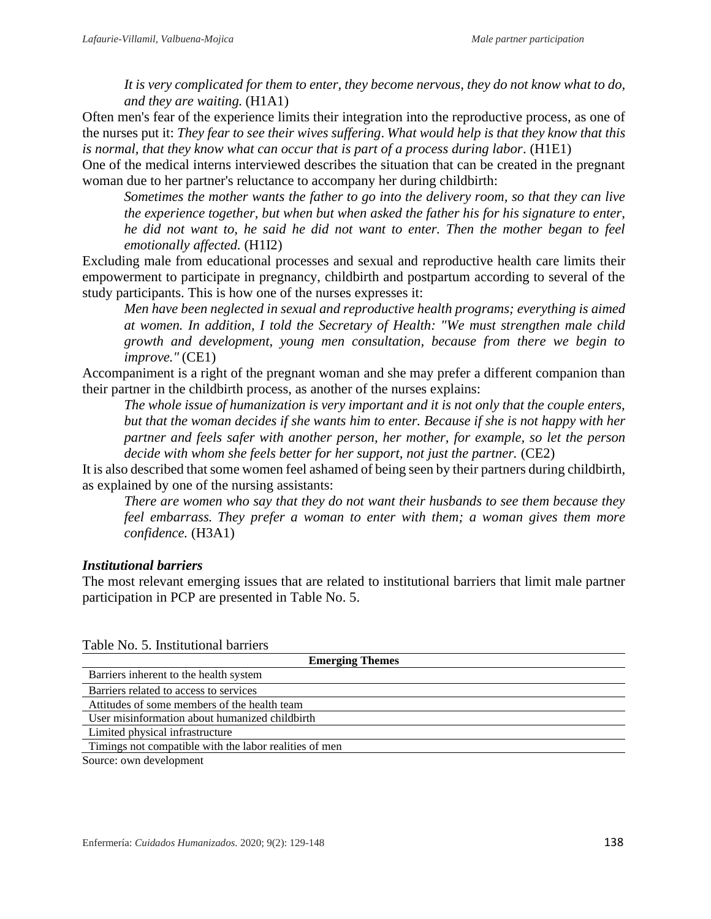*It is very complicated for them to enter, they become nervous, they do not know what to do, and they are waiting.* (H1A1)

Often men's fear of the experience limits their integration into the reproductive process, as one of the nurses put it: *They fear to see their wives suffering*. *What would help is that they know that this is normal, that they know what can occur that is part of a process during labor*. (H1E1)

One of the medical interns interviewed describes the situation that can be created in the pregnant woman due to her partner's reluctance to accompany her during childbirth:

*Sometimes the mother wants the father to go into the delivery room, so that they can live the experience together, but when but when asked the father his for his signature to enter, he did not want to, he said he did not want to enter. Then the mother began to feel emotionally affected.* (H1I2)

Excluding male from educational processes and sexual and reproductive health care limits their empowerment to participate in pregnancy, childbirth and postpartum according to several of the study participants. This is how one of the nurses expresses it:

*Men have been neglected in sexual and reproductive health programs; everything is aimed at women. In addition, I told the Secretary of Health: "We must strengthen male child growth and development, young men consultation, because from there we begin to improve."* (CE1)

Accompaniment is a right of the pregnant woman and she may prefer a different companion than their partner in the childbirth process, as another of the nurses explains:

*The whole issue of humanization is very important and it is not only that the couple enters, but that the woman decides if she wants him to enter. Because if she is not happy with her partner and feels safer with another person, her mother, for example, so let the person decide with whom she feels better for her support, not just the partner.* (CE2)

It is also described that some women feel ashamed of being seen by their partners during childbirth, as explained by one of the nursing assistants:

*There are women who say that they do not want their husbands to see them because they feel embarrass. They prefer a woman to enter with them; a woman gives them more confidence.* (H3A1)

### *Institutional barriers*

The most relevant emerging issues that are related to institutional barriers that limit male partner participation in PCP are presented in Table No. 5.

| Table Ind. 9. Institutibliai balliers                  |
|--------------------------------------------------------|
| <b>Emerging Themes</b>                                 |
| Barriers inherent to the health system                 |
| Barriers related to access to services                 |
| Attitudes of some members of the health team           |
| User misinformation about humanized childbirth         |
| Limited physical infrastructure                        |
| Timings not compatible with the labor realities of men |
| Source: own development                                |

Table No. 5. Institutional barriers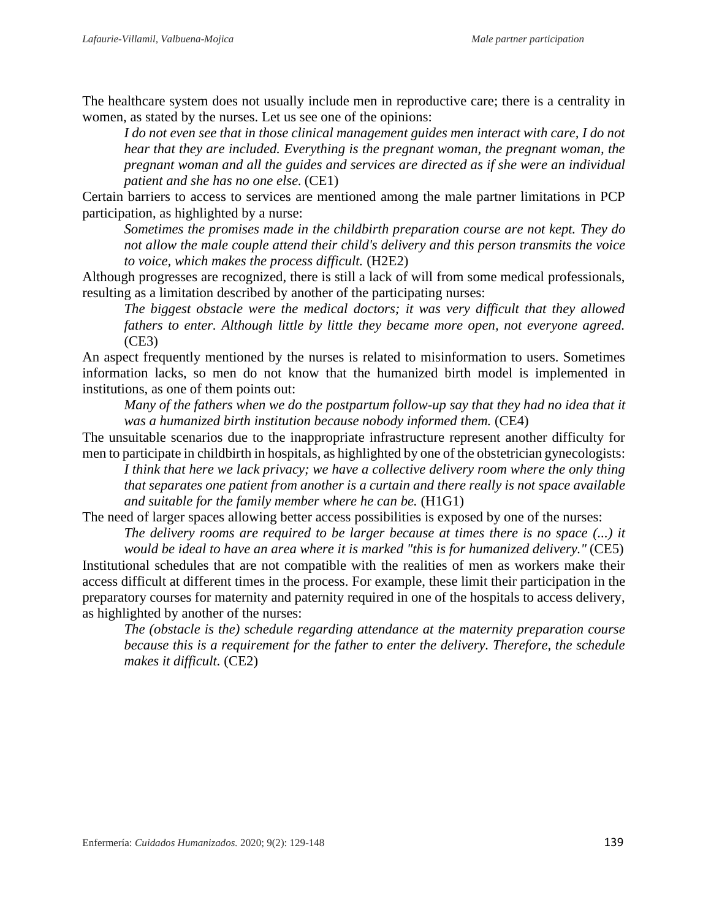The healthcare system does not usually include men in reproductive care; there is a centrality in women, as stated by the nurses. Let us see one of the opinions:

*I do not even see that in those clinical management guides men interact with care, I do not hear that they are included. Everything is the pregnant woman, the pregnant woman, the pregnant woman and all the guides and services are directed as if she were an individual patient and she has no one else.* (CE1)

Certain barriers to access to services are mentioned among the male partner limitations in PCP participation, as highlighted by a nurse:

*Sometimes the promises made in the childbirth preparation course are not kept. They do not allow the male couple attend their child's delivery and this person transmits the voice to voice, which makes the process difficult.* (H2E2)

Although progresses are recognized, there is still a lack of will from some medical professionals, resulting as a limitation described by another of the participating nurses:

*The biggest obstacle were the medical doctors; it was very difficult that they allowed fathers to enter. Although little by little they became more open, not everyone agreed.* (CE3)

An aspect frequently mentioned by the nurses is related to misinformation to users. Sometimes information lacks, so men do not know that the humanized birth model is implemented in institutions, as one of them points out:

*Many of the fathers when we do the postpartum follow-up say that they had no idea that it was a humanized birth institution because nobody informed them.* (CE4)

The unsuitable scenarios due to the inappropriate infrastructure represent another difficulty for men to participate in childbirth in hospitals, as highlighted by one of the obstetrician gynecologists:

*I think that here we lack privacy; we have a collective delivery room where the only thing that separates one patient from another is a curtain and there really is not space available and suitable for the family member where he can be.* (H1G1)

The need of larger spaces allowing better access possibilities is exposed by one of the nurses:

*The delivery rooms are required to be larger because at times there is no space (...) it would be ideal to have an area where it is marked "this is for humanized delivery."* (CE5) Institutional schedules that are not compatible with the realities of men as workers make their access difficult at different times in the process. For example, these limit their participation in the preparatory courses for maternity and paternity required in one of the hospitals to access delivery, as highlighted by another of the nurses:

*The (obstacle is the) schedule regarding attendance at the maternity preparation course because this is a requirement for the father to enter the delivery. Therefore, the schedule makes it difficult.* (CE2)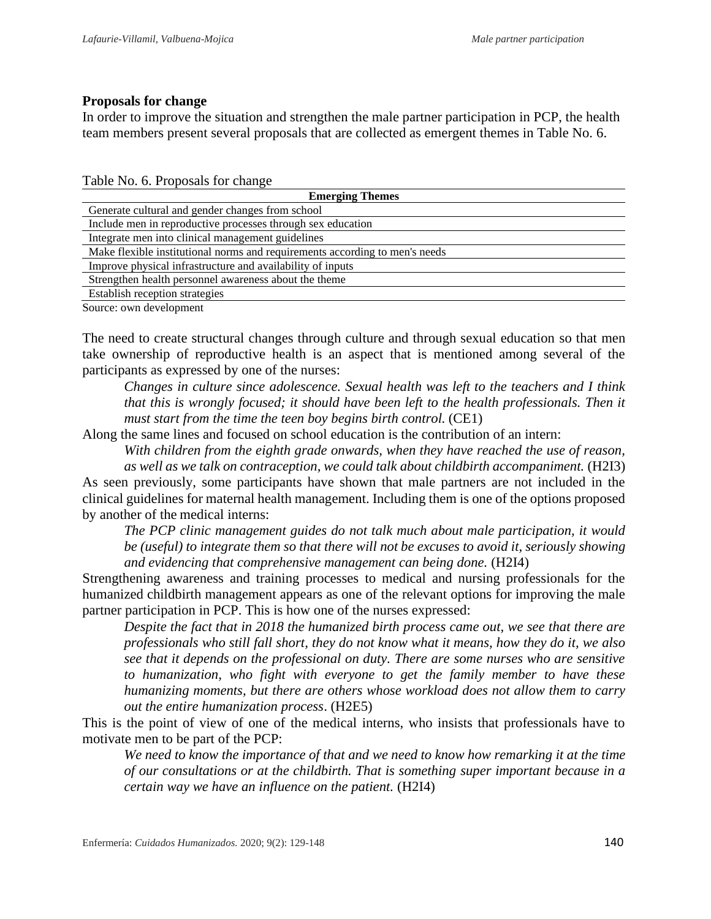### **Proposals for change**

In order to improve the situation and strengthen the male partner participation in PCP, the health team members present several proposals that are collected as emergent themes in Table No. 6.

Table No. 6. Proposals for change

| <b>Emerging Themes</b>                                                      |
|-----------------------------------------------------------------------------|
| Generate cultural and gender changes from school                            |
| Include men in reproductive processes through sex education                 |
| Integrate men into clinical management guidelines                           |
| Make flexible institutional norms and requirements according to men's needs |
| Improve physical infrastructure and availability of inputs                  |
| Strengthen health personnel awareness about the theme                       |
| Establish reception strategies                                              |
| Source: own development                                                     |

The need to create structural changes through culture and through sexual education so that men take ownership of reproductive health is an aspect that is mentioned among several of the participants as expressed by one of the nurses:

*Changes in culture since adolescence. Sexual health was left to the teachers and I think that this is wrongly focused; it should have been left to the health professionals. Then it must start from the time the teen boy begins birth control.* (CE1)

Along the same lines and focused on school education is the contribution of an intern:

*With children from the eighth grade onwards, when they have reached the use of reason, as well as we talk on contraception, we could talk about childbirth accompaniment.* (H2I3)

As seen previously, some participants have shown that male partners are not included in the clinical guidelines for maternal health management. Including them is one of the options proposed by another of the medical interns:

*The PCP clinic management guides do not talk much about male participation, it would be (useful) to integrate them so that there will not be excuses to avoid it, seriously showing and evidencing that comprehensive management can being done.* (H2I4)

Strengthening awareness and training processes to medical and nursing professionals for the humanized childbirth management appears as one of the relevant options for improving the male partner participation in PCP. This is how one of the nurses expressed:

*Despite the fact that in 2018 the humanized birth process came out, we see that there are professionals who still fall short, they do not know what it means, how they do it, we also see that it depends on the professional on duty. There are some nurses who are sensitive to humanization, who fight with everyone to get the family member to have these humanizing moments, but there are others whose workload does not allow them to carry out the entire humanization process*. (H2E5)

This is the point of view of one of the medical interns, who insists that professionals have to motivate men to be part of the PCP:

*We need to know the importance of that and we need to know how remarking it at the time of our consultations or at the childbirth. That is something super important because in a certain way we have an influence on the patient.* (H2I4)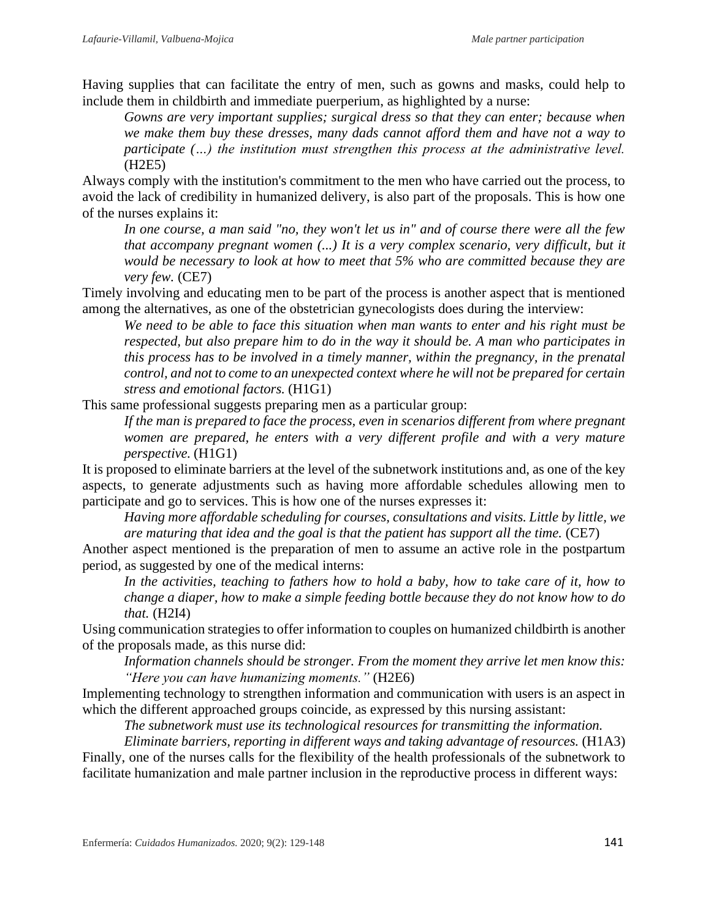Having supplies that can facilitate the entry of men, such as gowns and masks, could help to include them in childbirth and immediate puerperium, as highlighted by a nurse:

*Gowns are very important supplies; surgical dress so that they can enter; because when we make them buy these dresses, many dads cannot afford them and have not a way to participate (…) the institution must strengthen this process at the administrative level.* (H2E5)

Always comply with the institution's commitment to the men who have carried out the process, to avoid the lack of credibility in humanized delivery, is also part of the proposals. This is how one of the nurses explains it:

*In one course, a man said "no, they won't let us in" and of course there were all the few that accompany pregnant women (...) It is a very complex scenario, very difficult, but it would be necessary to look at how to meet that 5% who are committed because they are very few.* (CE7)

Timely involving and educating men to be part of the process is another aspect that is mentioned among the alternatives, as one of the obstetrician gynecologists does during the interview:

*We need to be able to face this situation when man wants to enter and his right must be respected, but also prepare him to do in the way it should be. A man who participates in this process has to be involved in a timely manner, within the pregnancy, in the prenatal control, and not to come to an unexpected context where he will not be prepared for certain stress and emotional factors.* (H1G1)

This same professional suggests preparing men as a particular group:

*If the man is prepared to face the process, even in scenarios different from where pregnant women are prepared, he enters with a very different profile and with a very mature perspective.* (H1G1)

It is proposed to eliminate barriers at the level of the subnetwork institutions and, as one of the key aspects, to generate adjustments such as having more affordable schedules allowing men to participate and go to services. This is how one of the nurses expresses it:

*Having more affordable scheduling for courses, consultations and visits. Little by little, we are maturing that idea and the goal is that the patient has support all the time.* (CE7)

Another aspect mentioned is the preparation of men to assume an active role in the postpartum period, as suggested by one of the medical interns:

*In the activities, teaching to fathers how to hold a baby, how to take care of it, how to change a diaper, how to make a simple feeding bottle because they do not know how to do that.* (H2I4)

Using communication strategies to offer information to couples on humanized childbirth is another of the proposals made, as this nurse did:

*Information channels should be stronger. From the moment they arrive let men know this: "Here you can have humanizing moments."* (H2E6)

Implementing technology to strengthen information and communication with users is an aspect in which the different approached groups coincide, as expressed by this nursing assistant:

*The subnetwork must use its technological resources for transmitting the information.*

*Eliminate barriers, reporting in different ways and taking advantage of resources.* (H1A3) Finally, one of the nurses calls for the flexibility of the health professionals of the subnetwork to facilitate humanization and male partner inclusion in the reproductive process in different ways: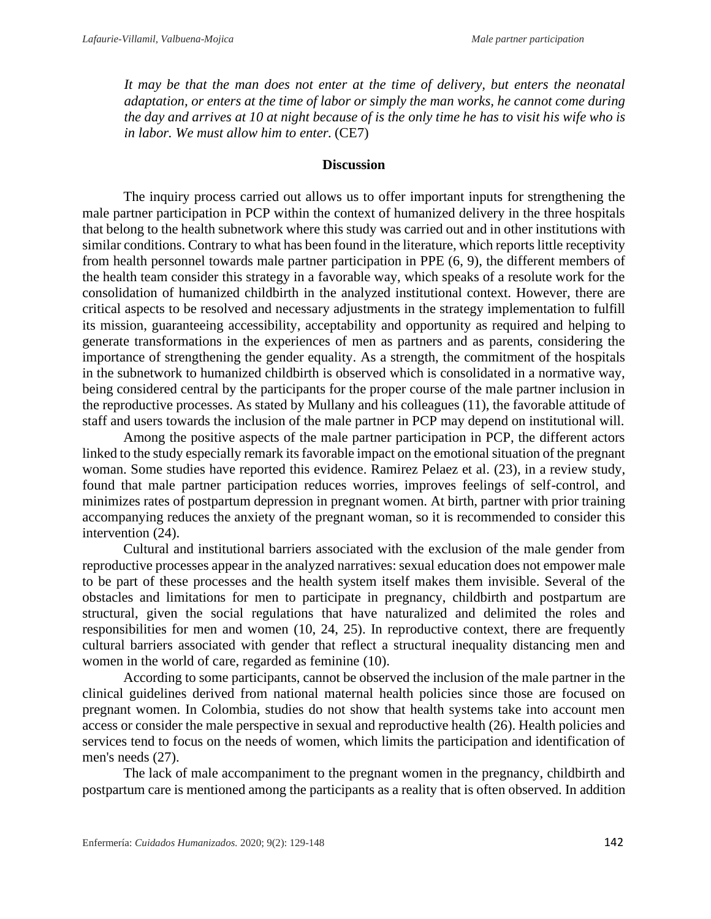*It may be that the man does not enter at the time of delivery, but enters the neonatal adaptation, or enters at the time of labor or simply the man works, he cannot come during the day and arrives at 10 at night because of is the only time he has to visit his wife who is in labor. We must allow him to enter.* (CE7)

#### **Discussion**

The inquiry process carried out allows us to offer important inputs for strengthening the male partner participation in PCP within the context of humanized delivery in the three hospitals that belong to the health subnetwork where this study was carried out and in other institutions with similar conditions. Contrary to what has been found in the literature, which reports little receptivity from health personnel towards male partner participation in PPE (6, 9), the different members of the health team consider this strategy in a favorable way, which speaks of a resolute work for the consolidation of humanized childbirth in the analyzed institutional context. However, there are critical aspects to be resolved and necessary adjustments in the strategy implementation to fulfill its mission, guaranteeing accessibility, acceptability and opportunity as required and helping to generate transformations in the experiences of men as partners and as parents, considering the importance of strengthening the gender equality. As a strength, the commitment of the hospitals in the subnetwork to humanized childbirth is observed which is consolidated in a normative way, being considered central by the participants for the proper course of the male partner inclusion in the reproductive processes. As stated by Mullany and his colleagues (11), the favorable attitude of staff and users towards the inclusion of the male partner in PCP may depend on institutional will.

Among the positive aspects of the male partner participation in PCP, the different actors linked to the study especially remark its favorable impact on the emotional situation of the pregnant woman. Some studies have reported this evidence. Ramirez Pelaez et al. (23), in a review study, found that male partner participation reduces worries, improves feelings of self-control, and minimizes rates of postpartum depression in pregnant women. At birth, partner with prior training accompanying reduces the anxiety of the pregnant woman, so it is recommended to consider this intervention (24).

Cultural and institutional barriers associated with the exclusion of the male gender from reproductive processes appear in the analyzed narratives: sexual education does not empower male to be part of these processes and the health system itself makes them invisible. Several of the obstacles and limitations for men to participate in pregnancy, childbirth and postpartum are structural, given the social regulations that have naturalized and delimited the roles and responsibilities for men and women (10, 24, 25). In reproductive context, there are frequently cultural barriers associated with gender that reflect a structural inequality distancing men and women in the world of care, regarded as feminine (10).

According to some participants, cannot be observed the inclusion of the male partner in the clinical guidelines derived from national maternal health policies since those are focused on pregnant women. In Colombia, studies do not show that health systems take into account men access or consider the male perspective in sexual and reproductive health (26). Health policies and services tend to focus on the needs of women, which limits the participation and identification of men's needs (27).

The lack of male accompaniment to the pregnant women in the pregnancy, childbirth and postpartum care is mentioned among the participants as a reality that is often observed. In addition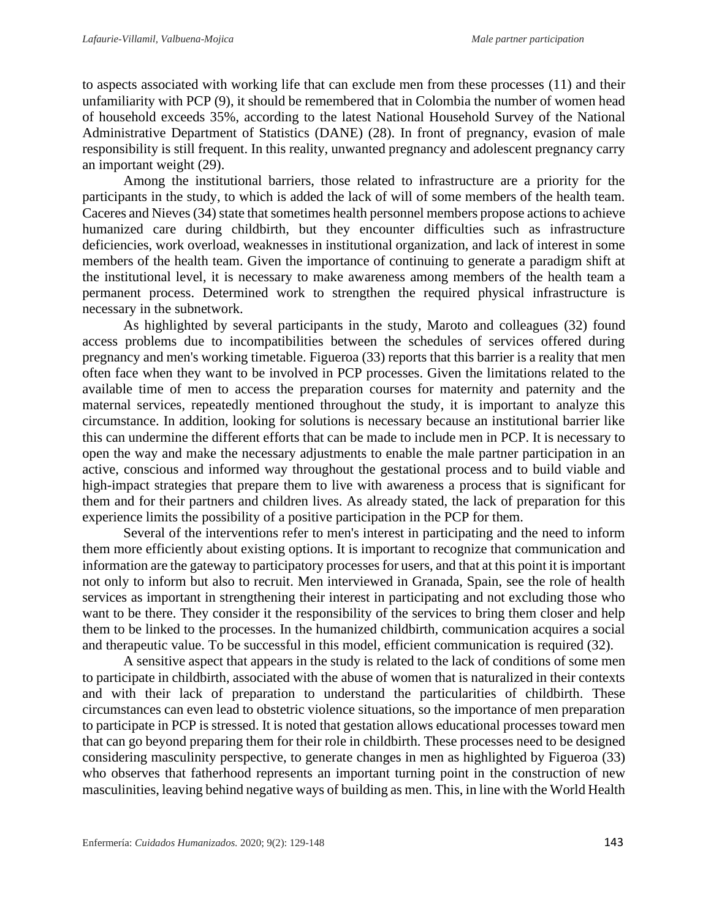to aspects associated with working life that can exclude men from these processes (11) and their unfamiliarity with PCP (9), it should be remembered that in Colombia the number of women head of household exceeds 35%, according to the latest National Household Survey of the National Administrative Department of Statistics (DANE) (28). In front of pregnancy, evasion of male responsibility is still frequent. In this reality, unwanted pregnancy and adolescent pregnancy carry an important weight (29).

Among the institutional barriers, those related to infrastructure are a priority for the participants in the study, to which is added the lack of will of some members of the health team. Caceres and Nieves(34) state that sometimes health personnel members propose actions to achieve humanized care during childbirth, but they encounter difficulties such as infrastructure deficiencies, work overload, weaknesses in institutional organization, and lack of interest in some members of the health team. Given the importance of continuing to generate a paradigm shift at the institutional level, it is necessary to make awareness among members of the health team a permanent process. Determined work to strengthen the required physical infrastructure is necessary in the subnetwork.

As highlighted by several participants in the study, Maroto and colleagues (32) found access problems due to incompatibilities between the schedules of services offered during pregnancy and men's working timetable. Figueroa (33) reports that this barrier is a reality that men often face when they want to be involved in PCP processes. Given the limitations related to the available time of men to access the preparation courses for maternity and paternity and the maternal services, repeatedly mentioned throughout the study, it is important to analyze this circumstance. In addition, looking for solutions is necessary because an institutional barrier like this can undermine the different efforts that can be made to include men in PCP. It is necessary to open the way and make the necessary adjustments to enable the male partner participation in an active, conscious and informed way throughout the gestational process and to build viable and high-impact strategies that prepare them to live with awareness a process that is significant for them and for their partners and children lives. As already stated, the lack of preparation for this experience limits the possibility of a positive participation in the PCP for them.

Several of the interventions refer to men's interest in participating and the need to inform them more efficiently about existing options. It is important to recognize that communication and information are the gateway to participatory processes for users, and that at this point it is important not only to inform but also to recruit. Men interviewed in Granada, Spain, see the role of health services as important in strengthening their interest in participating and not excluding those who want to be there. They consider it the responsibility of the services to bring them closer and help them to be linked to the processes. In the humanized childbirth, communication acquires a social and therapeutic value. To be successful in this model, efficient communication is required (32).

A sensitive aspect that appears in the study is related to the lack of conditions of some men to participate in childbirth, associated with the abuse of women that is naturalized in their contexts and with their lack of preparation to understand the particularities of childbirth. These circumstances can even lead to obstetric violence situations, so the importance of men preparation to participate in PCP is stressed. It is noted that gestation allows educational processes toward men that can go beyond preparing them for their role in childbirth. These processes need to be designed considering masculinity perspective, to generate changes in men as highlighted by Figueroa (33) who observes that fatherhood represents an important turning point in the construction of new masculinities, leaving behind negative ways of building as men. This, in line with the World Health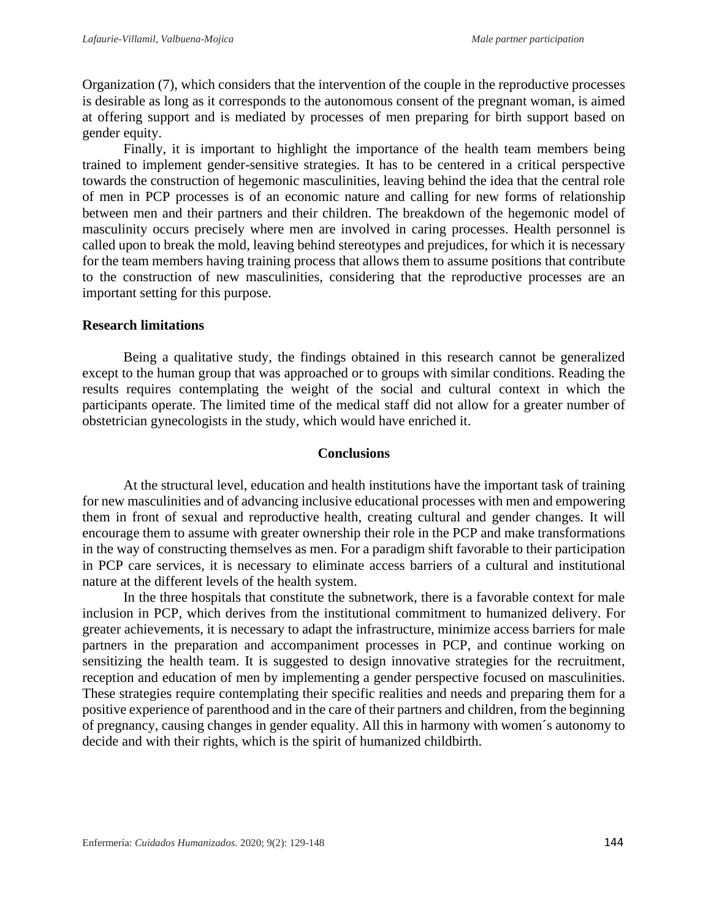Organization (7), which considers that the intervention of the couple in the reproductive processes is desirable as long as it corresponds to the autonomous consent of the pregnant woman, is aimed at offering support and is mediated by processes of men preparing for birth support based on gender equity.

Finally, it is important to highlight the importance of the health team members being trained to implement gender-sensitive strategies. It has to be centered in a critical perspective towards the construction of hegemonic masculinities, leaving behind the idea that the central role of men in PCP processes is of an economic nature and calling for new forms of relationship between men and their partners and their children. The breakdown of the hegemonic model of masculinity occurs precisely where men are involved in caring processes. Health personnel is called upon to break the mold, leaving behind stereotypes and prejudices, for which it is necessary for the team members having training process that allows them to assume positions that contribute to the construction of new masculinities, considering that the reproductive processes are an important setting for this purpose.

#### **Research limitations**

Being a qualitative study, the findings obtained in this research cannot be generalized except to the human group that was approached or to groups with similar conditions. Reading the results requires contemplating the weight of the social and cultural context in which the participants operate. The limited time of the medical staff did not allow for a greater number of obstetrician gynecologists in the study, which would have enriched it.

#### **Conclusions**

At the structural level, education and health institutions have the important task of training for new masculinities and of advancing inclusive educational processes with men and empowering them in front of sexual and reproductive health, creating cultural and gender changes. It will encourage them to assume with greater ownership their role in the PCP and make transformations in the way of constructing themselves as men. For a paradigm shift favorable to their participation in PCP care services, it is necessary to eliminate access barriers of a cultural and institutional nature at the different levels of the health system.

In the three hospitals that constitute the subnetwork, there is a favorable context for male inclusion in PCP, which derives from the institutional commitment to humanized delivery. For greater achievements, it is necessary to adapt the infrastructure, minimize access barriers for male partners in the preparation and accompaniment processes in PCP, and continue working on sensitizing the health team. It is suggested to design innovative strategies for the recruitment, reception and education of men by implementing a gender perspective focused on masculinities. These strategies require contemplating their specific realities and needs and preparing them for a positive experience of parenthood and in the care of their partners and children, from the beginning of pregnancy, causing changes in gender equality. All this in harmony with women´s autonomy to decide and with their rights, which is the spirit of humanized childbirth.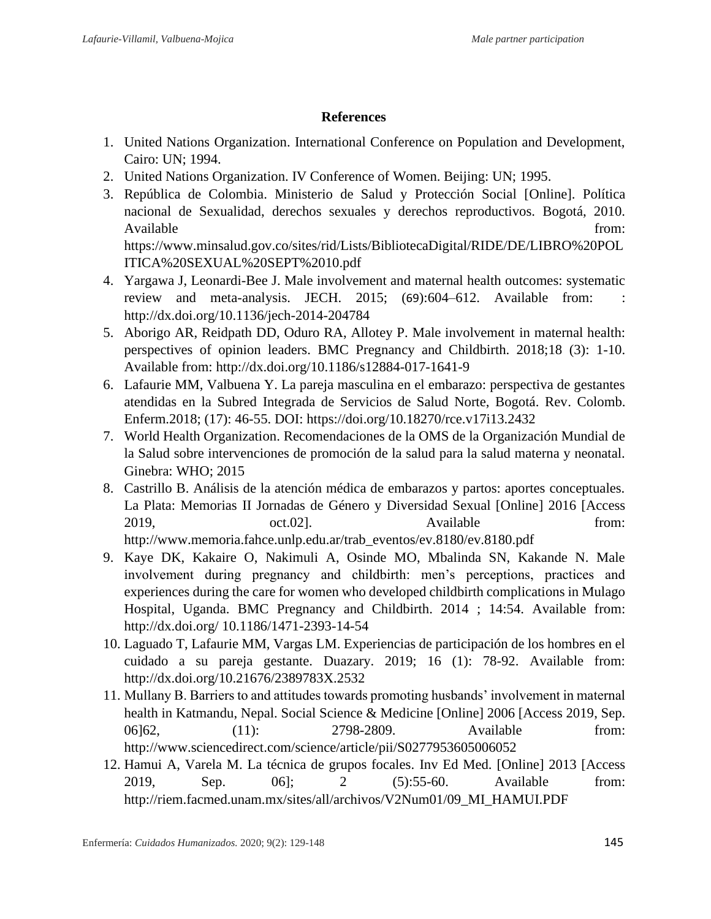## **References**

- 1. United Nations Organization. International Conference on Population and Development, Cairo: UN; 1994.
- 2. United Nations Organization. IV Conference of Women. Beijing: UN; 1995.
- 3. República de Colombia. Ministerio de Salud y Protección Social [Online]. Política nacional de Sexualidad, derechos sexuales y derechos reproductivos. Bogotá, 2010. Available from:  $\blacksquare$ https://www.minsalud.gov.co/sites/rid/Lists/BibliotecaDigital/RIDE/DE/LIBRO%20POL ITICA%20SEXUAL%20SEPT%2010.pdf
- 4. Yargawa J, Leonardi-Bee J. Male involvement and maternal health outcomes: systematic review and meta-analysis. JECH. 2015; (69):604–612. Available from: : http://dx.doi.org/10.1136/jech-2014-204784
- 5. Aborigo AR, Reidpath DD, Oduro RA, Allotey P. Male involvement in maternal health: perspectives of opinion leaders. BMC Pregnancy and Childbirth. 2018;18 (3): 1-10. Available from: http://dx.doi.org/10.1186/s12884-017-1641-9
- 6. Lafaurie MM, Valbuena Y. La pareja masculina en el embarazo: perspectiva de gestantes atendidas en la Subred Integrada de Servicios de Salud Norte, Bogotá. Rev. Colomb. Enferm.2018; (17): 46-55. DOI: https://doi.org/10.18270/rce.v17i13.2432
- 7. World Health Organization. Recomendaciones de la OMS de la Organización Mundial de la Salud sobre intervenciones de promoción de la salud para la salud materna y neonatal. Ginebra: WHO; 2015
- 8. Castrillo B. Análisis de la atención médica de embarazos y partos: aportes conceptuales. La Plata: Memorias II Jornadas de Género y Diversidad Sexual [Online] 2016 [Access 2019, cot.02]. Available from: http://www.memoria.fahce.unlp.edu.ar/trab\_eventos/ev.8180/ev.8180.pdf
- 9. Kaye DK, Kakaire O, Nakimuli A, Osinde MO, Mbalinda SN, Kakande N. Male involvement during pregnancy and childbirth: men's perceptions, practices and experiences during the care for women who developed childbirth complications in Mulago Hospital, Uganda. BMC Pregnancy and Childbirth. 2014 ; 14:54. Available from: http://dx.doi.org/ 10.1186/1471-2393-14-54
- 10. Laguado T, Lafaurie MM, Vargas LM. Experiencias de participación de los hombres en el cuidado a su pareja gestante. Duazary. 2019; 16 (1): 78-92. Available from: http://dx.doi.org/10.21676/2389783X.2532
- 11. Mullany B. Barriers to and attitudes towards promoting husbands' involvement in maternal health in Katmandu, Nepal. Social Science & Medicine [Online] 2006 [Access 2019, Sep. 06]62, (11): 2798-2809. Available from: http://www.sciencedirect.com/science/article/pii/S0277953605006052
- 12. Hamui A, Varela M. La técnica de grupos focales. Inv Ed Med. [Online] 2013 [Access 2019, Sep. 06]; 2 (5):55-60. Available from: http://riem.facmed.unam.mx/sites/all/archivos/V2Num01/09\_MI\_HAMUI.PDF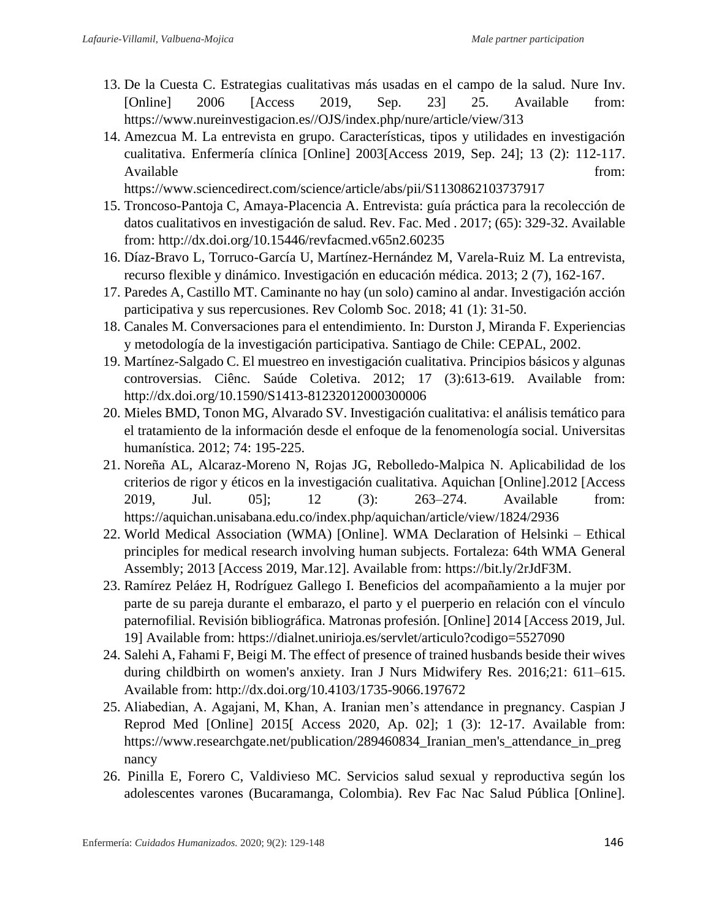- 13. De la Cuesta C. Estrategias cualitativas más usadas en el campo de la salud. Nure Inv. [Online] 2006 [Access 2019, Sep. 23] 25. Available from: https://www.nureinvestigacion.es//OJS/index.php/nure/article/view/313
- 14. Amezcua M. La entrevista en grupo. Características, tipos y utilidades en investigación cualitativa. Enfermería clínica [Online] 2003[Access 2019, Sep. 24]; 13 (2): 112-117. Available from:

https://www.sciencedirect.com/science/article/abs/pii/S1130862103737917

- 15. Troncoso-Pantoja C, Amaya-Placencia A. Entrevista: guía práctica para la recolección de datos cualitativos en investigación de salud. Rev. Fac. Med . 2017; (65): 329-32. Available from: http://dx.doi.org/10.15446/revfacmed.v65n2.60235
- 16. Díaz-Bravo L, Torruco-García U, Martínez-Hernández M, Varela-Ruiz M. La entrevista, recurso flexible y dinámico. Investigación en educación médica. 2013; 2 (7), 162-167.
- 17. Paredes A, Castillo MT. Caminante no hay (un solo) camino al andar. Investigación acción participativa y sus repercusiones. Rev Colomb Soc. 2018; 41 (1): 31-50.
- 18. Canales M. Conversaciones para el entendimiento. In: Durston J, Miranda F. Experiencias y metodología de la investigación participativa. Santiago de Chile: CEPAL, 2002.
- 19. Martínez-Salgado C. El muestreo en investigación cualitativa. Principios básicos y algunas controversias. Ciênc. Saúde Coletiva. 2012; 17 (3):613-619. Available from: http://dx.doi.org/10.1590/S1413-81232012000300006
- 20. Mieles BMD, Tonon MG, Alvarado SV. Investigación cualitativa: el análisis temático para el tratamiento de la información desde el enfoque de la fenomenología social. Universitas humanística. 2012; 74: 195-225.
- 21. Noreña AL, Alcaraz-Moreno N, Rojas JG, Rebolledo-Malpica N. Aplicabilidad de los criterios de rigor y éticos en la investigación cualitativa. Aquichan [Online].2012 [Access 2019, Jul. 05]; 12 (3): 263–274. Available from: https://aquichan.unisabana.edu.co/index.php/aquichan/article/view/1824/2936
- 22. World Medical Association (WMA) [Online]. WMA Declaration of Helsinki Ethical principles for medical research involving human subjects. Fortaleza: 64th WMA General Assembly; 2013 [Access 2019, Mar.12]. Available from: https://bit.ly/2rJdF3M.
- 23. Ramírez Peláez H, Rodríguez Gallego I. Beneficios del acompañamiento a la mujer por parte de su pareja durante el embarazo, el parto y el puerperio en relación con el vínculo paternofilial. Revisión bibliográfica. Matronas profesión. [Online] 2014 [Access 2019, Jul. 19] Available from: https://dialnet.unirioja.es/servlet/articulo?codigo=5527090
- 24. Salehi A, Fahami F, Beigi M. The effect of presence of trained husbands beside their wives during childbirth on women's anxiety. Iran J Nurs Midwifery Res. 2016;21: 611–615. Available from: http://dx.doi.org/10.4103/1735-9066.197672
- 25. Aliabedian, A. Agajani, M, Khan, A. Iranian men's attendance in pregnancy. Caspian J Reprod Med [Online] 2015[ Access 2020, Ap. 02]; 1 (3): 12-17. Available from: https://www.researchgate.net/publication/289460834\_Iranian\_men's\_attendance\_in\_preg nancy
- 26. Pinilla E, Forero C, Valdivieso MC. Servicios salud sexual y reproductiva según los adolescentes varones (Bucaramanga, Colombia). Rev Fac Nac Salud Pública [Online].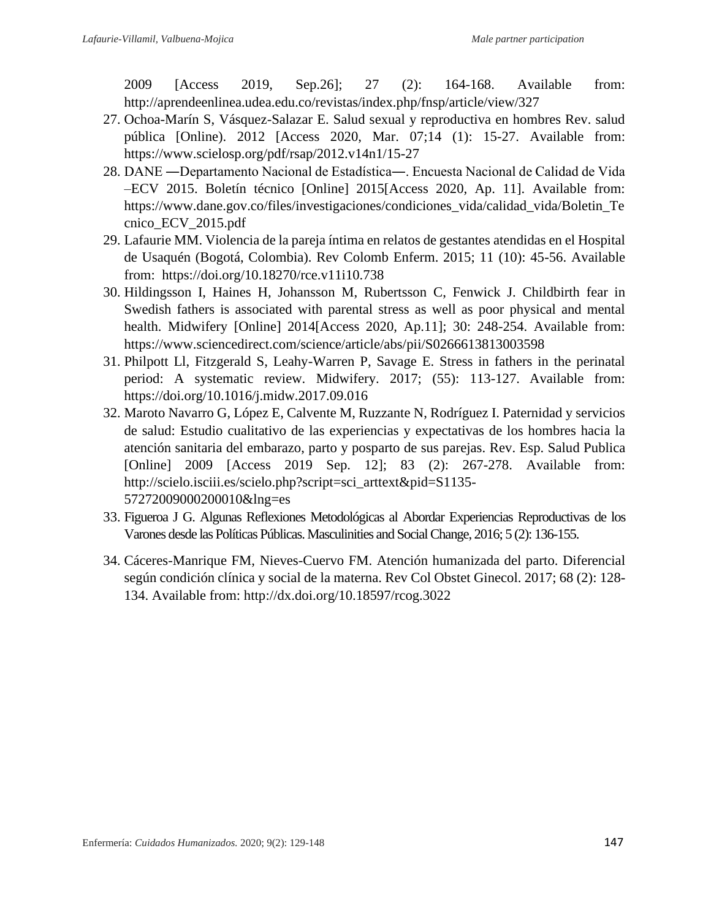2009 [Access 2019, Sep.26]; 27 (2): 164-168. Available from: http://aprendeenlinea.udea.edu.co/revistas/index.php/fnsp/article/view/327

- 27. Ochoa-Marín S, Vásquez-Salazar E. Salud sexual y reproductiva en hombres Rev. salud pública [Online). 2012 [Access 2020, Mar. 07;14 (1): 15-27. Available from: https://www.scielosp.org/pdf/rsap/2012.v14n1/15-27
- 28. DANE ―Departamento Nacional de Estadística―. Encuesta Nacional de Calidad de Vida –ECV 2015. Boletín técnico [Online] 2015[Access 2020, Ap. 11]. Available from: https://www.dane.gov.co/files/investigaciones/condiciones\_vida/calidad\_vida/Boletin\_Te cnico\_ECV\_2015.pdf
- 29. Lafaurie MM. Violencia de la pareja íntima en relatos de gestantes atendidas en el Hospital de Usaquén (Bogotá, Colombia). Rev Colomb Enferm. 2015; 11 (10): 45-56. Available from: https://doi.org/10.18270/rce.v11i10.738
- 30. Hildingsson I, Haines H, Johansson M, Rubertsson C, Fenwick J. Childbirth fear in Swedish fathers is associated with parental stress as well as poor physical and mental health. Midwifery [Online] 2014[Access 2020, Ap.11]; 30: 248-254. Available from: https://www.sciencedirect.com/science/article/abs/pii/S0266613813003598
- 31. Philpott Ll, Fitzgerald S, Leahy-Warren P, Savage E. Stress in fathers in the perinatal period: A systematic review. Midwifery. 2017; (55): 113-127. Available from: https://doi.org/10.1016/j.midw.2017.09.016
- 32. Maroto Navarro G, López E, Calvente M, Ruzzante N, Rodríguez I. Paternidad y servicios de salud: Estudio cualitativo de las experiencias y expectativas de los hombres hacia la atención sanitaria del embarazo, parto y posparto de sus parejas. Rev. Esp. Salud Publica [Online] 2009 [Access 2019 Sep. 12]; 83 (2): 267-278. Available from: http://scielo.isciii.es/scielo.php?script=sci\_arttext&pid=S1135- 57272009000200010&lng=es
- 33. Figueroa J G. Algunas Reflexiones Metodológicas al Abordar Experiencias Reproductivas de los Varones desde las Políticas Públicas. Masculinities and Social Change, 2016; 5 (2): 136-155.
- 34. Cáceres-Manrique FM, Nieves-Cuervo FM. Atención humanizada del parto. Diferencial según condición clínica y social de la materna. Rev Col Obstet Ginecol. 2017; 68 (2): 128- 134. Available from: http://dx.doi.org/10.18597/rcog.3022